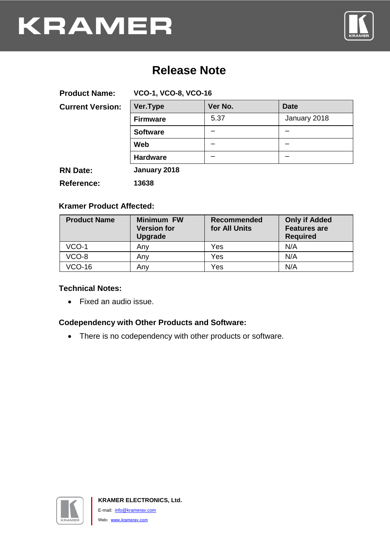

## **Release Note**

| <b>Product Name:</b>    | <b>VCO-1, VCO-8, VCO-16</b> |         |              |
|-------------------------|-----------------------------|---------|--------------|
| <b>Current Version:</b> | Ver.Type                    | Ver No. | <b>Date</b>  |
|                         | <b>Firmware</b>             | 5.37    | January 2018 |
|                         | <b>Software</b>             |         |              |
|                         | Web                         |         |              |
|                         | <b>Hardware</b>             |         |              |
| <b>RN Date:</b>         | January 2018                |         |              |
| <b>Reference:</b>       | 13638                       |         |              |

## **Kramer Product Affected:**

| <b>Product Name</b> | <b>Minimum FW</b><br><b>Version for</b><br><b>Upgrade</b> | <b>Recommended</b><br>for All Units | <b>Only if Added</b><br><b>Features are</b><br><b>Required</b> |
|---------------------|-----------------------------------------------------------|-------------------------------------|----------------------------------------------------------------|
| VCO-1               | Any                                                       | Yes                                 | N/A                                                            |
| VCO-8               | Anv                                                       | Yes                                 | N/A                                                            |
| VCO-16              | Anv                                                       | Yes                                 | N/A                                                            |

### **Technical Notes:**

Fixed an audio issue.

## **Codependency with Other Products and Software:**

• There is no codependency with other products or software.

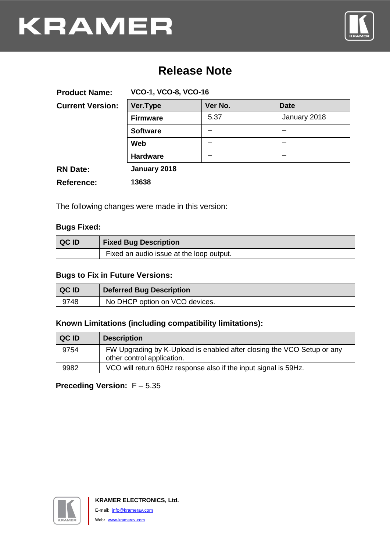

## **Release Note**

| <b>Product Name:</b>    | <b>VCO-1, VCO-8, VCO-16</b> |         |              |
|-------------------------|-----------------------------|---------|--------------|
| <b>Current Version:</b> | Ver.Type                    | Ver No. | <b>Date</b>  |
|                         | <b>Firmware</b>             | 5.37    | January 2018 |
|                         | <b>Software</b>             |         |              |
|                         | <b>Web</b>                  |         |              |
|                         | <b>Hardware</b>             |         |              |
| <b>RN Date:</b>         | January 2018                |         |              |
| <b>Reference:</b>       | 13638                       |         |              |

The following changes were made in this version:

## **Bugs Fixed:**

| <b>QCID</b> | <b>Fixed Bug Description</b>             |
|-------------|------------------------------------------|
|             | Fixed an audio issue at the loop output. |

#### **Bugs to Fix in Future Versions:**

| <b>QCID</b> | <b>Deferred Bug Description</b> |
|-------------|---------------------------------|
| 9748        | No DHCP option on VCO devices.  |

### **Known Limitations (including compatibility limitations):**

| QC ID | <b>Description</b>                                                                                   |
|-------|------------------------------------------------------------------------------------------------------|
| 9754  | FW Upgrading by K-Upload is enabled after closing the VCO Setup or any<br>other control application. |
| 9982  | VCO will return 60Hz response also if the input signal is 59Hz.                                      |

## **Preceding Version:** F – 5.35

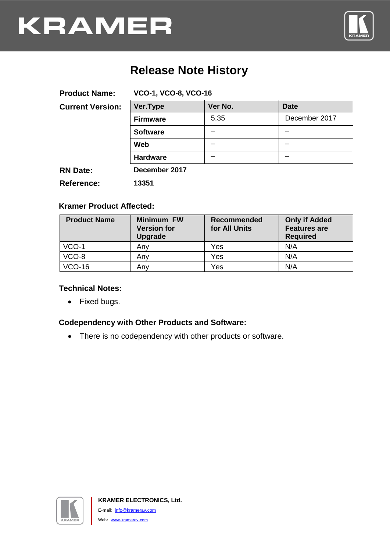

## **Release Note History**

| <b>Product Name:</b>    | <b>VCO-1, VCO-8, VCO-16</b> |         |               |
|-------------------------|-----------------------------|---------|---------------|
| <b>Current Version:</b> | Ver.Type                    | Ver No. | <b>Date</b>   |
|                         | <b>Firmware</b>             | 5.35    | December 2017 |
|                         | <b>Software</b>             |         |               |
|                         | Web                         |         |               |
|                         | <b>Hardware</b>             |         |               |
| <b>RN Date:</b>         | December 2017               |         |               |
| <b>Reference:</b>       | 13351                       |         |               |

### **Kramer Product Affected:**

| <b>Product Name</b> | <b>Minimum FW</b><br><b>Version for</b><br>Upgrade | <b>Recommended</b><br>for All Units | <b>Only if Added</b><br><b>Features are</b><br><b>Required</b> |
|---------------------|----------------------------------------------------|-------------------------------------|----------------------------------------------------------------|
| $VCO-1$             | Any                                                | Yes                                 | N/A                                                            |
| VCO-8               | Anv                                                | Yes                                 | N/A                                                            |
| <b>VCO-16</b>       | Anv                                                | Yes                                 | N/A                                                            |

#### **Technical Notes:**

• Fixed bugs.

## **Codependency with Other Products and Software:**

• There is no codependency with other products or software.

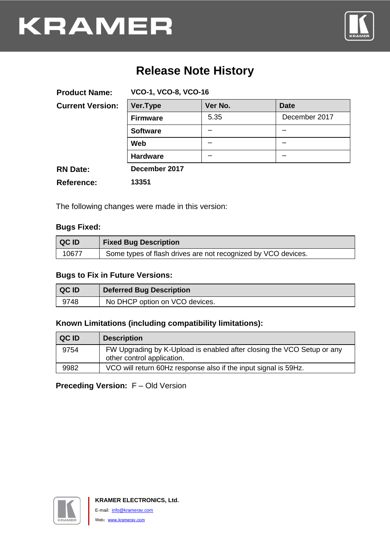

# **Release Note History**

| <b>Product Name:</b>    | <b>VCO-1, VCO-8, VCO-16</b> |         |               |
|-------------------------|-----------------------------|---------|---------------|
| <b>Current Version:</b> | Ver.Type                    | Ver No. | <b>Date</b>   |
|                         | <b>Firmware</b>             | 5.35    | December 2017 |
|                         | <b>Software</b>             |         |               |
|                         | <b>Web</b>                  |         |               |
|                         | <b>Hardware</b>             |         |               |
| <b>RN Date:</b>         | December 2017               |         |               |
| <b>Reference:</b>       | 13351                       |         |               |

The following changes were made in this version:

## **Bugs Fixed:**

| <b>QCID</b> | <b>Fixed Bug Description</b>                                  |
|-------------|---------------------------------------------------------------|
| 10677       | Some types of flash drives are not recognized by VCO devices. |

#### **Bugs to Fix in Future Versions:**

| <b>QCID</b> | <b>Deferred Bug Description</b> |
|-------------|---------------------------------|
| 9748        | No DHCP option on VCO devices.  |

### **Known Limitations (including compatibility limitations):**

| QC ID | <b>Description</b>                                                                                   |
|-------|------------------------------------------------------------------------------------------------------|
| 9754  | FW Upgrading by K-Upload is enabled after closing the VCO Setup or any<br>other control application. |
| 9982  | VCO will return 60Hz response also if the input signal is 59Hz.                                      |

## **Preceding Version:** F – Old Version

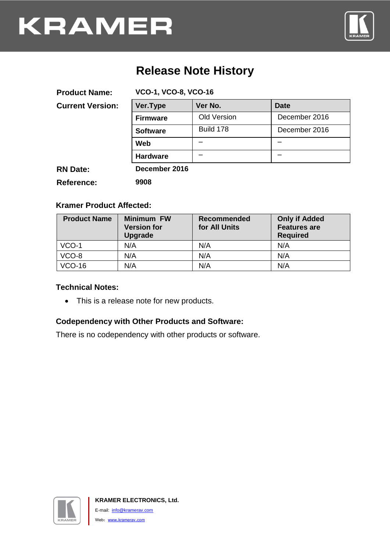

# **Release Note History**

| <b>Product Name:</b>    | <b>VCO-1, VCO-8, VCO-16</b> |                    |               |
|-------------------------|-----------------------------|--------------------|---------------|
| <b>Current Version:</b> | Ver.Type                    | Ver No.            | <b>Date</b>   |
|                         | <b>Firmware</b>             | <b>Old Version</b> | December 2016 |
|                         | <b>Software</b>             | Build 178          | December 2016 |
|                         | Web                         |                    |               |
|                         | <b>Hardware</b>             |                    |               |
| <b>RN Date:</b>         | December 2016               |                    |               |
| Reference:              | 9908                        |                    |               |

### **Kramer Product Affected:**

| <b>Product Name</b> | <b>Minimum FW</b><br><b>Version for</b><br><b>Upgrade</b> | <b>Recommended</b><br>for All Units | <b>Only if Added</b><br><b>Features are</b><br><b>Required</b> |
|---------------------|-----------------------------------------------------------|-------------------------------------|----------------------------------------------------------------|
| $VCO-1$             | N/A                                                       | N/A                                 | N/A                                                            |
| VCO-8               | N/A                                                       | N/A                                 | N/A                                                            |
| $VCO-16$            | N/A                                                       | N/A                                 | N/A                                                            |

#### **Technical Notes:**

This is a release note for new products.

### **Codependency with Other Products and Software:**

There is no codependency with other products or software.